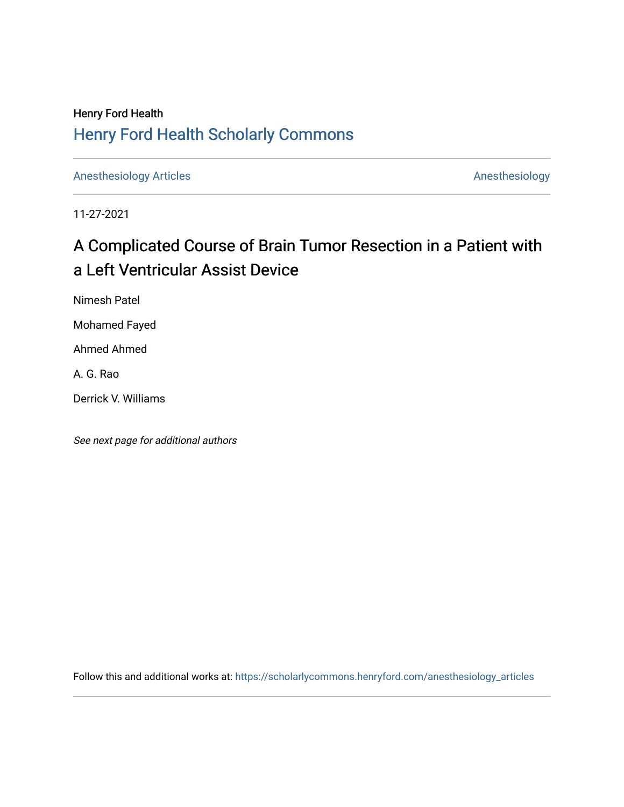## Henry Ford Health [Henry Ford Health Scholarly Commons](https://scholarlycommons.henryford.com/)

[Anesthesiology Articles](https://scholarlycommons.henryford.com/anesthesiology_articles) [Anesthesiology](https://scholarlycommons.henryford.com/anesthesiology) Articles

11-27-2021

# A Complicated Course of Brain Tumor Resection in a Patient with a Left Ventricular Assist Device

Nimesh Patel

Mohamed Fayed

Ahmed Ahmed

A. G. Rao

Derrick V. Williams

See next page for additional authors

Follow this and additional works at: [https://scholarlycommons.henryford.com/anesthesiology\\_articles](https://scholarlycommons.henryford.com/anesthesiology_articles?utm_source=scholarlycommons.henryford.com%2Fanesthesiology_articles%2F128&utm_medium=PDF&utm_campaign=PDFCoverPages)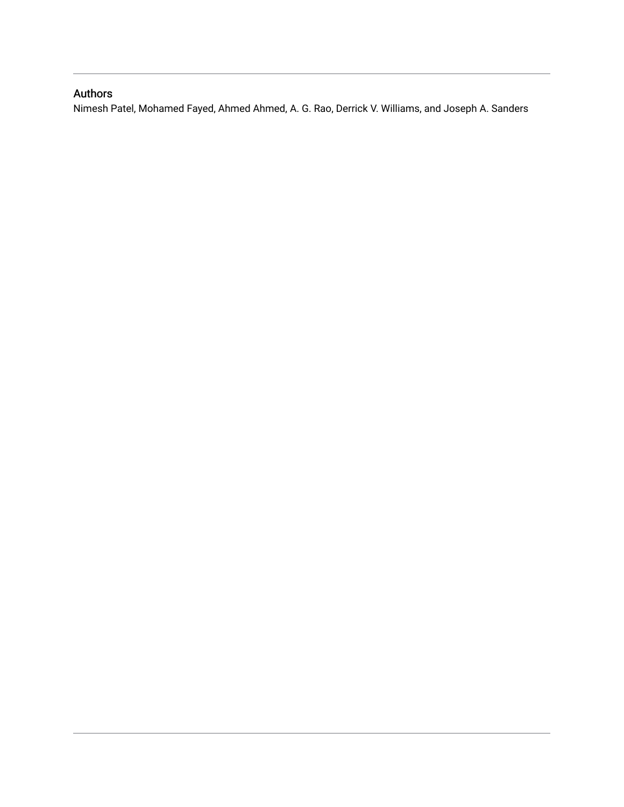## Authors

Nimesh Patel, Mohamed Fayed, Ahmed Ahmed, A. G. Rao, Derrick V. Williams, and Joseph A. Sanders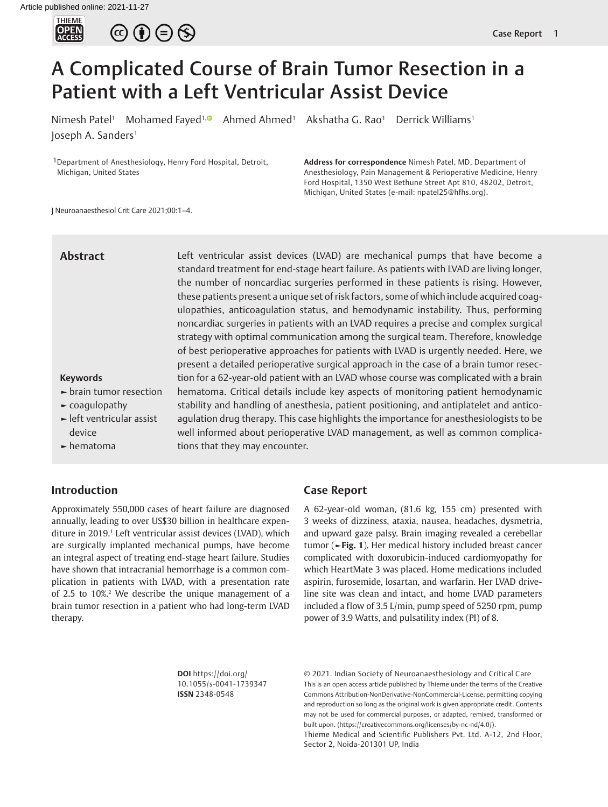

 $\circledcirc \circ \circledcirc$ 

# A Complicated Course of Brain Tumor Resection in a Patient with a Left Ventricular Assist Device

Nimesh Patel<sup>1</sup> Mohamed Fayed<sup>1, **O** Ahmed Ahmed<sup>1</sup> Akshatha G. Rao<sup>1</sup> Derrick Williams<sup>1</sup></sup> Joseph A. Sanders<sup>1</sup>

1Department of Anesthesiology, Henry Ford Hospital, Detroit, Michigan, United States

**Address for correspondence** Nimesh Patel, MD, Department of Anesthesiology, Pain Management & Perioperative Medicine, Henry Ford Hospital, 1350 West Bethune Street Apt 810, 48202, Detroit, Michigan, United States (e-mail: npatel25@hfhs.org).

J Neuroanaesthesiol Crit Care 2021;00:1–4.

## **Abstract**

Left ventricular assist devices (LVAD) are mechanical pumps that have become a standard treatment for end-stage heart failure. As patients with LVAD are living longer, the number of noncardiac surgeries performed in these patients is rising. However, these patients present a unique set of risk factors, some of which include acquired coagulopathies, anticoagulation status, and hemodynamic instability. Thus, performing noncardiac surgeries in patients with an LVAD requires a precise and complex surgical strategy with optimal communication among the surgical team. Therefore, knowledge of best perioperative approaches for patients with LVAD is urgently needed. Here, we present a detailed perioperative surgical approach in the case of a brain tumor resection for a 62-year-old patient with an LVAD whose course was complicated with a brain hematoma. Critical details include key aspects of monitoring patient hemodynamic stability and handling of anesthesia, patient positioning, and antiplatelet and anticoagulation drug therapy. This case highlights the importance for anesthesiologists to be well informed about perioperative LVAD management, as well as common complications that they may encounter.

#### **Keywords**

- **►** brain tumor resection
- **►** coagulopathy
- **►** left ventricular assist device
- **►** hematoma

## **Introduction**

<span id="page-2-2"></span><span id="page-2-1"></span>Approximately 550,000 cases of heart failure are diagnosed annually, leading to over US\$30 billion in healthcare expenditure in 2019.<sup>1</sup> Left ventricular assist devices (LVAD), which are surgically implanted mechanical pumps, have become an integral aspect of treating end-stage heart failure. Studies have shown that intracranial hemorrhage is a common complication in patients with LVAD, with a presentation rate of 2.5 to 10%[.2](#page-5-0) We describe the unique management of a brain tumor resection in a patient who had long-term LVAD therapy.

### **Case Report**

<span id="page-2-0"></span>A 62-year-old woman, (81.6 kg, 155 cm) presented with 3 weeks of dizziness, ataxia, nausea, headaches, dysmetria, and upward gaze palsy. Brain imaging revealed a cerebellar tumor (**[►Fig. 1](#page-3-0)**). Her medical history included breast cancer complicated with doxorubicin-induced cardiomyopathy for which HeartMate 3 was placed. Home medications included aspirin, furosemide, losartan, and warfarin. Her LVAD driveline site was clean and intact, and home LVAD parameters included a flow of 3.5 L/min, pump speed of 5250 rpm, pump power of 3.9 Watts, and pulsatility index (PI) of 8.

**DOI** https://doi.org/ 10.1055/s-0041-1739347 **ISSN** 2348-0548

© 2021. Indian Society of Neuroanaesthesiology and Critical Care This is an open access article published by Thieme under the terms of the Creative Commons Attribution-NonDerivative-NonCommercial-License, permitting copying and reproduction so long as the original work is given appropriate credit. Contents may not be used for commercial purposes, or adapted, remixed, transformed or built upon. (https://creativecommons.org/licenses/by-nc-nd/4.0/).

Thieme Medical and Scientific Publishers Pvt. Ltd. A-12, 2nd Floor, Sector 2, Noida-201301 UP, India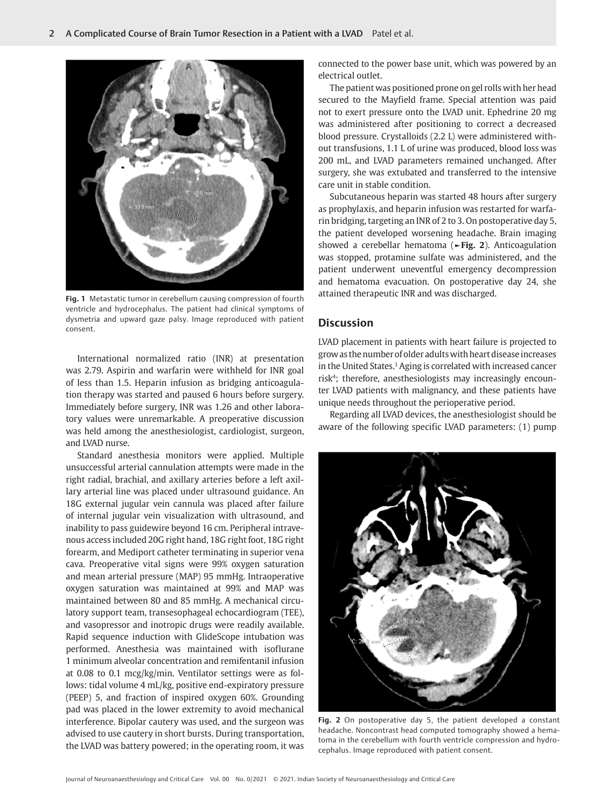

**Fig. 1** [Metastatic tumor in cerebellum causing compression of fourth](#page-2-0) [ventricle and hydrocephalus. The patient had clinical symptoms of](#page-2-0) [dysmetria and upward gaze palsy. Image reproduced with patient](#page-2-0) [consent.](#page-2-0)

<span id="page-3-0"></span>International normalized ratio (INR) at presentation was 2.79. Aspirin and warfarin were withheld for INR goal of less than 1.5. Heparin infusion as bridging anticoagulation therapy was started and paused 6 hours before surgery. Immediately before surgery, INR was 1.26 and other laboratory values were unremarkable. A preoperative discussion was held among the anesthesiologist, cardiologist, surgeon, and LVAD nurse.

Standard anesthesia monitors were applied. Multiple unsuccessful arterial cannulation attempts were made in the right radial, brachial, and axillary arteries before a left axillary arterial line was placed under ultrasound guidance. An 18G external jugular vein cannula was placed after failure of internal jugular vein visualization with ultrasound, and inability to pass guidewire beyond 16 cm. Peripheral intravenous access included 20G right hand, 18G right foot, 18G right forearm, and Mediport catheter terminating in superior vena cava. Preoperative vital signs were 99% oxygen saturation and mean arterial pressure (MAP) 95 mmHg. Intraoperative oxygen saturation was maintained at 99% and MAP was maintained between 80 and 85 mmHg. A mechanical circulatory support team, transesophageal echocardiogram (TEE), and vasopressor and inotropic drugs were readily available. Rapid sequence induction with GlideScope intubation was performed. Anesthesia was maintained with isoflurane 1 minimum alveolar concentration and remifentanil infusion at 0.08 to 0.1 mcg/kg/min. Ventilator settings were as follows: tidal volume 4 mL/kg, positive end-expiratory pressure (PEEP) 5, and fraction of inspired oxygen 60%. Grounding pad was placed in the lower extremity to avoid mechanical interference. Bipolar cautery was used, and the surgeon was advised to use cautery in short bursts. During transportation, the LVAD was battery powered; in the operating room, it was connected to the power base unit, which was powered by an electrical outlet.

The patient was positioned prone on gel rolls with her head secured to the Mayfield frame. Special attention was paid not to exert pressure onto the LVAD unit. Ephedrine 20 mg was administered after positioning to correct a decreased blood pressure. Crystalloids (2.2 L) were administered without transfusions, 1.1 L of urine was produced, blood loss was 200 mL, and LVAD parameters remained unchanged. After surgery, she was extubated and transferred to the intensive care unit in stable condition.

<span id="page-3-2"></span>Subcutaneous heparin was started 48 hours after surgery as prophylaxis, and heparin infusion was restarted for warfarin bridging, targeting an INR of 2 to 3. On postoperative day 5, the patient developed worsening headache. Brain imaging showed a cerebellar hematoma (**[►Fig. 2](#page-3-1)**). Anticoagulation was stopped, protamine sulfate was administered, and the patient underwent uneventful emergency decompression and hematoma evacuation. On postoperative day 24, she attained therapeutic INR and was discharged.

#### **Discussion**

<span id="page-3-4"></span><span id="page-3-3"></span>LVAD placement in patients with heart failure is projected to grow as the number of older adults with heart disease increases in the United States.<sup>[3](#page-5-1)</sup> Aging is correlated with increased cancer ris[k4](#page-5-2) ; therefore, anesthesiologists may increasingly encounter LVAD patients with malignancy, and these patients have unique needs throughout the perioperative period.

Regarding all LVAD devices, the anesthesiologist should be aware of the following specific LVAD parameters: (1) pump

<span id="page-3-1"></span>

**Fig. 2** [On postoperative day 5, the patient developed a constant](#page-3-2) [headache. Noncontrast head computed tomography showed a hema](#page-3-2)[toma in the cerebellum with fourth ventricle compression and hydro](#page-3-2)[cephalus. Image reproduced with patient consent.](#page-3-2)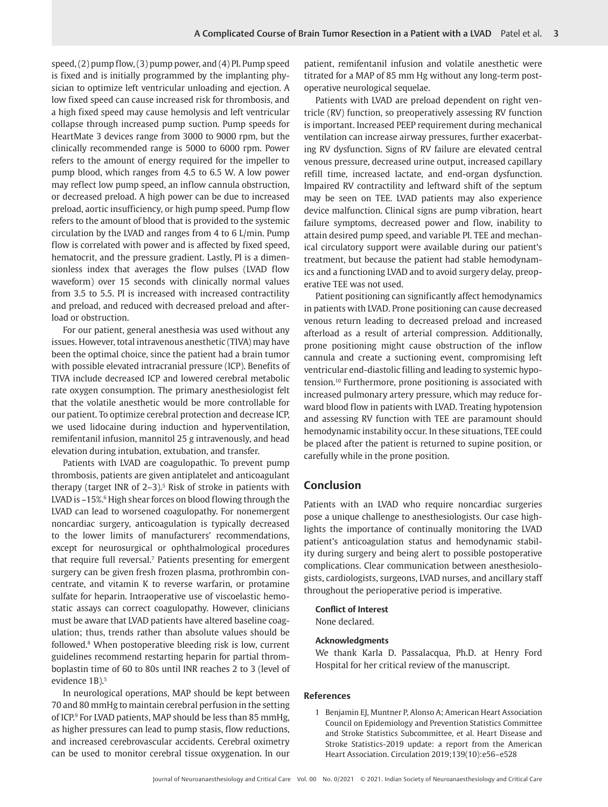speed, (2) pump flow, (3) pump power, and (4) PI. Pump speed is fixed and is initially programmed by the implanting physician to optimize left ventricular unloading and ejection. A low fixed speed can cause increased risk for thrombosis, and a high fixed speed may cause hemolysis and left ventricular collapse through increased pump suction. Pump speeds for HeartMate 3 devices range from 3000 to 9000 rpm, but the clinically recommended range is 5000 to 6000 rpm. Power refers to the amount of energy required for the impeller to pump blood, which ranges from 4.5 to 6.5 W. A low power may reflect low pump speed, an inflow cannula obstruction, or decreased preload. A high power can be due to increased preload, aortic insufficiency, or high pump speed. Pump flow refers to the amount of blood that is provided to the systemic circulation by the LVAD and ranges from 4 to 6 L/min. Pump flow is correlated with power and is affected by fixed speed, hematocrit, and the pressure gradient. Lastly, PI is a dimensionless index that averages the flow pulses (LVAD flow waveform) over 15 seconds with clinically normal values from 3.5 to 5.5. PI is increased with increased contractility and preload, and reduced with decreased preload and afterload or obstruction.

For our patient, general anesthesia was used without any issues. However, total intravenous anesthetic (TIVA) may have been the optimal choice, since the patient had a brain tumor with possible elevated intracranial pressure (ICP). Benefits of TIVA include decreased ICP and lowered cerebral metabolic rate oxygen consumption. The primary anesthesiologist felt that the volatile anesthetic would be more controllable for our patient. To optimize cerebral protection and decrease ICP, we used lidocaine during induction and hyperventilation, remifentanil infusion, mannitol 25 g intravenously, and head elevation during intubation, extubation, and transfer.

<span id="page-4-3"></span><span id="page-4-2"></span><span id="page-4-1"></span>Patients with LVAD are coagulopathic. To prevent pump thrombosis, patients are given antiplatelet and anticoagulant therapy (target INR of  $2-3$ ).<sup>[5](#page-5-3)</sup> Risk of stroke in patients with LVAD is ~15%.<sup>[6](#page-5-4)</sup> High shear forces on blood flowing through the LVAD can lead to worsened coagulopathy. For nonemergent noncardiac surgery, anticoagulation is typically decreased to the lower limits of manufacturers' recommendations, except for neurosurgical or ophthalmological procedures that require full reversal.<sup>7</sup> Patients presenting for emergent surgery can be given fresh frozen plasma, prothrombin concentrate, and vitamin K to reverse warfarin, or protamine sulfate for heparin. Intraoperative use of viscoelastic hemostatic assays can correct coagulopathy. However, clinicians must be aware that LVAD patients have altered baseline coagulation; thus, trends rather than absolute values should be followed.[8](#page-5-6) When postoperative bleeding risk is low, current guidelines recommend restarting heparin for partial thromboplastin time of 60 to 80s until INR reaches 2 to 3 (level of evidence 1B).<sup>5</sup>

<span id="page-4-5"></span><span id="page-4-4"></span>In neurological operations, MAP should be kept between 70 and 80 mmHg to maintain cerebral perfusion in the setting of ICP[.9](#page-5-7) For LVAD patients, MAP should be less than 85 mmHg, as higher pressures can lead to pump stasis, flow reductions, and increased cerebrovascular accidents. Cerebral oximetry can be used to monitor cerebral tissue oxygenation. In our

patient, remifentanil infusion and volatile anesthetic were titrated for a MAP of 85 mm Hg without any long-term postoperative neurological sequelae.

Patients with LVAD are preload dependent on right ventricle (RV) function, so preoperatively assessing RV function is important. Increased PEEP requirement during mechanical ventilation can increase airway pressures, further exacerbating RV dysfunction. Signs of RV failure are elevated central venous pressure, decreased urine output, increased capillary refill time, increased lactate, and end-organ dysfunction. Impaired RV contractility and leftward shift of the septum may be seen on TEE. LVAD patients may also experience device malfunction. Clinical signs are pump vibration, heart failure symptoms, decreased power and flow, inability to attain desired pump speed, and variable PI. TEE and mechanical circulatory support were available during our patient's treatment, but because the patient had stable hemodynamics and a functioning LVAD and to avoid surgery delay, preoperative TEE was not used.

<span id="page-4-6"></span>Patient positioning can significantly affect hemodynamics in patients with LVAD. Prone positioning can cause decreased venous return leading to decreased preload and increased afterload as a result of arterial compression. Additionally, prone positioning might cause obstruction of the inflow cannula and create a suctioning event, compromising left ventricular end-diastolic filling and leading to systemic hypotension[.10](#page-5-8) Furthermore, prone positioning is associated with increased pulmonary artery pressure, which may reduce forward blood flow in patients with LVAD. Treating hypotension and assessing RV function with TEE are paramount should hemodynamic instability occur. In these situations, TEE could be placed after the patient is returned to supine position, or carefully while in the prone position.

### **Conclusion**

Patients with an LVAD who require noncardiac surgeries pose a unique challenge to anesthesiologists. Our case highlights the importance of continually monitoring the LVAD patient's anticoagulation status and hemodynamic stability during surgery and being alert to possible postoperative complications. Clear communication between anesthesiologists, cardiologists, surgeons, LVAD nurses, and ancillary staff throughout the perioperative period is imperative.

#### **Conflict of Interest**

None declared.

#### **Acknowledgments**

We thank Karla D. Passalacqua, Ph.D. at Henry Ford Hospital for her critical review of the manuscript.

#### **References**

<span id="page-4-0"></span>[1](#page-2-1) Benjamin EJ, Muntner P, Alonso A; American Heart Association Council on Epidemiology and Prevention Statistics Committee and Stroke Statistics Subcommittee, et al. Heart Disease and Stroke Statistics-2019 update: a report from the American Heart Association. Circulation 2019;139(10):e56–e528